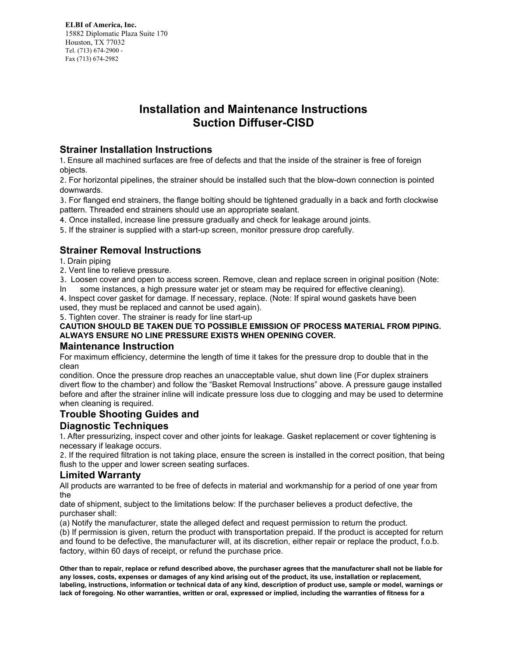**ELBI of America, Inc.** 15882 Diplomatic Plaza Suite 170 Houston, TX 77032 Tel. (713) 674-2900 -Fax (713) 674-2982

# **Installation and Maintenance Instructions Suction Diffuser-CISD**

## **Strainer Installation Instructions**

1. Ensure all machined surfaces are free of defects and that the inside of the strainer is free of foreign objects.

2. For horizontal pipelines, the strainer should be installed such that the blowdown connection is pointed downwards.

3. For flanged end strainers, the flange bolting should be tightened gradually in a back and forth clockwise pattern. Threaded end strainers should use an appropriate sealant.

4. Once installed, increase line pressure gradually and check for leakage around joints.

5. If the strainer is supplied with a start-up screen, monitor pressure drop carefully.

# **Strainer Removal Instructions**

1. Drain piping

2. Vent line to relieve pressure.

3. Loosen cover and open to access screen. Remove, clean and replace screen in original position (Note: In some instances, a high pressure water jet or steam may be required for effective cleaning).

some instances, a high pressure water jet or steam may be required for effective cleaning).

4. Inspect cover gasket for damage. If necessary, replace. (Note: If spiral wound gaskets have been used, they must be replaced and cannot be used again).

5. Tighten cover. The strainer is ready for line start-up

#### **CAUTION SHOULD BE TAKEN DUE TO POSSIBLE EMISSION OF PROCESS MATERIAL FROM PIPING. ALWAYS ENSURE NO LINE PRESSURE EXISTS WHEN OPENING COVER.**

### **Maintenance Instruction**

For maximum efficiency, determine the length of time it takes for the pressure drop to double that in the clean

condition. Once the pressure drop reaches an unacceptable value, shut down line (For duplex strainers divert flow to the chamber) and follow the "Basket Removal Instructions" above. A pressure gauge installed before and after the strainer inline will indicate pressure loss due to clogging and may be used to determine when cleaning is required.

## **Trouble Shooting Guides and**

### **Diagnostic Techniques**

1. After pressurizing, inspect cover and other joints for leakage. Gasket replacement or cover tightening is necessary if leakage occurs.

2. If the required filtration is not taking place, ensure the screen is installed in the correct position, that being flush to the upper and lower screen seating surfaces.

#### **Limited Warranty**

All products are warranted to be free of defects in material and workmanship for a period of one year from the

date of shipment, subject to the limitations below: If the purchaser believes a product defective, the purchaser shall:

(a) Notify the manufacturer, state the alleged defect and request permission to return the product.

(b) If permission is given, return the product with transportation prepaid. If the product is accepted for return and found to be defective, the manufacturer will, at its discretion, either repair or replace the product, f.o.b. factory, within 60 days of receipt, or refund the purchase price.

**Other than to repair, replace or refund described above, the purchaser agrees that the manufacturer shall not be liable for any losses, costs, expenses or damages of any kind arising out of the product, its use, installation or replacement, labeling, instructions, information or technical data of any kind, description of product use, sample or model, warnings or lack of foregoing. No other warranties, written or oral, expressed or implied, including the warranties of fitness for a**